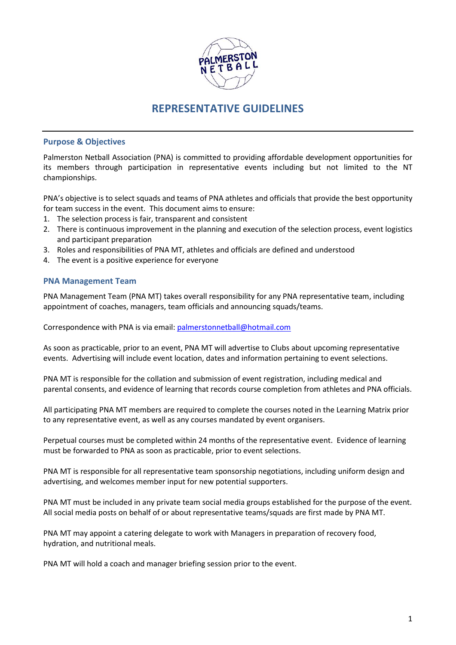

# **REPRESENTATIVE GUIDELINES**

### **Purpose & Objectives**

Palmerston Netball Association (PNA) is committed to providing affordable development opportunities for its members through participation in representative events including but not limited to the NT championships.

PNA's objective is to select squads and teams of PNA athletes and officials that provide the best opportunity for team success in the event. This document aims to ensure:

- 1. The selection process is fair, transparent and consistent
- 2. There is continuous improvement in the planning and execution of the selection process, event logistics and participant preparation
- 3. Roles and responsibilities of PNA MT, athletes and officials are defined and understood
- 4. The event is a positive experience for everyone

#### **PNA Management Team**

PNA Management Team (PNA MT) takes overall responsibility for any PNA representative team, including appointment of coaches, managers, team officials and announcing squads/teams.

Correspondence with PNA is via email: [palmerstonnetball@hotmail.com](mailto:palmerstonnetball@hotmail.com)

As soon as practicable, prior to an event, PNA MT will advertise to Clubs about upcoming representative events. Advertising will include event location, dates and information pertaining to event selections.

PNA MT is responsible for the collation and submission of event registration, including medical and parental consents, and evidence of learning that records course completion from athletes and PNA officials.

All participating PNA MT members are required to complete the courses noted in the Learning Matrix prior to any representative event, as well as any courses mandated by event organisers.

Perpetual courses must be completed within 24 months of the representative event. Evidence of learning must be forwarded to PNA as soon as practicable, prior to event selections.

PNA MT is responsible for all representative team sponsorship negotiations, including uniform design and advertising, and welcomes member input for new potential supporters.

PNA MT must be included in any private team social media groups established for the purpose of the event. All social media posts on behalf of or about representative teams/squads are first made by PNA MT.

PNA MT may appoint a catering delegate to work with Managers in preparation of recovery food, hydration, and nutritional meals.

PNA MT will hold a coach and manager briefing session prior to the event.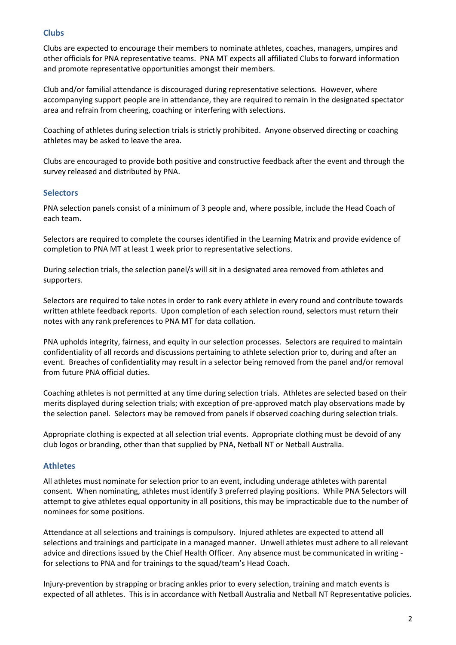## **Clubs**

Clubs are expected to encourage their members to nominate athletes, coaches, managers, umpires and other officials for PNA representative teams. PNA MT expects all affiliated Clubs to forward information and promote representative opportunities amongst their members.

Club and/or familial attendance is discouraged during representative selections. However, where accompanying support people are in attendance, they are required to remain in the designated spectator area and refrain from cheering, coaching or interfering with selections.

Coaching of athletes during selection trials is strictly prohibited. Anyone observed directing or coaching athletes may be asked to leave the area.

Clubs are encouraged to provide both positive and constructive feedback after the event and through the survey released and distributed by PNA.

## **Selectors**

PNA selection panels consist of a minimum of 3 people and, where possible, include the Head Coach of each team.

Selectors are required to complete the courses identified in the Learning Matrix and provide evidence of completion to PNA MT at least 1 week prior to representative selections.

During selection trials, the selection panel/s will sit in a designated area removed from athletes and supporters.

Selectors are required to take notes in order to rank every athlete in every round and contribute towards written athlete feedback reports. Upon completion of each selection round, selectors must return their notes with any rank preferences to PNA MT for data collation.

PNA upholds integrity, fairness, and equity in our selection processes. Selectors are required to maintain confidentiality of all records and discussions pertaining to athlete selection prior to, during and after an event. Breaches of confidentiality may result in a selector being removed from the panel and/or removal from future PNA official duties.

Coaching athletes is not permitted at any time during selection trials. Athletes are selected based on their merits displayed during selection trials; with exception of pre-approved match play observations made by the selection panel. Selectors may be removed from panels if observed coaching during selection trials.

Appropriate clothing is expected at all selection trial events. Appropriate clothing must be devoid of any club logos or branding, other than that supplied by PNA, Netball NT or Netball Australia.

# **Athletes**

All athletes must nominate for selection prior to an event, including underage athletes with parental consent. When nominating, athletes must identify 3 preferred playing positions. While PNA Selectors will attempt to give athletes equal opportunity in all positions, this may be impracticable due to the number of nominees for some positions.

Attendance at all selections and trainings is compulsory. Injured athletes are expected to attend all selections and trainings and participate in a managed manner. Unwell athletes must adhere to all relevant advice and directions issued by the Chief Health Officer. Any absence must be communicated in writing for selections to PNA and for trainings to the squad/team's Head Coach.

Injury-prevention by strapping or bracing ankles prior to every selection, training and match events is expected of all athletes. This is in accordance with Netball Australia and Netball NT Representative policies.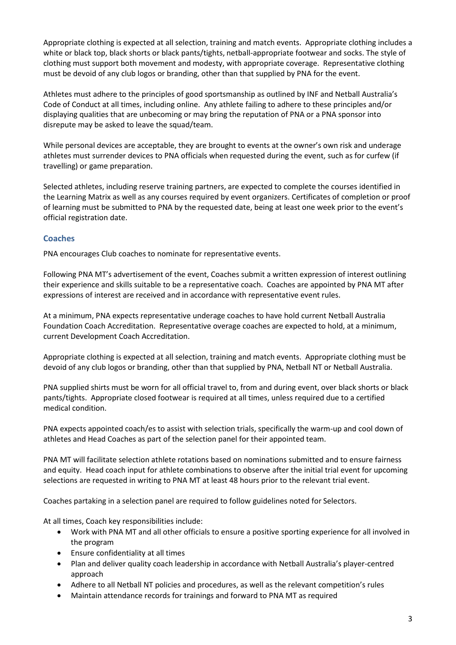Appropriate clothing is expected at all selection, training and match events. Appropriate clothing includes a white or black top, black shorts or black pants/tights, netball-appropriate footwear and socks. The style of clothing must support both movement and modesty, with appropriate coverage. Representative clothing must be devoid of any club logos or branding, other than that supplied by PNA for the event.

Athletes must adhere to the principles of good sportsmanship as outlined by INF and Netball Australia's Code of Conduct at all times, including online. Any athlete failing to adhere to these principles and/or displaying qualities that are unbecoming or may bring the reputation of PNA or a PNA sponsor into disrepute may be asked to leave the squad/team.

While personal devices are acceptable, they are brought to events at the owner's own risk and underage athletes must surrender devices to PNA officials when requested during the event, such as for curfew (if travelling) or game preparation.

Selected athletes, including reserve training partners, are expected to complete the courses identified in the Learning Matrix as well as any courses required by event organizers. Certificates of completion or proof of learning must be submitted to PNA by the requested date, being at least one week prior to the event's official registration date.

### **Coaches**

PNA encourages Club coaches to nominate for representative events.

Following PNA MT's advertisement of the event, Coaches submit a written expression of interest outlining their experience and skills suitable to be a representative coach. Coaches are appointed by PNA MT after expressions of interest are received and in accordance with representative event rules.

At a minimum, PNA expects representative underage coaches to have hold current Netball Australia Foundation Coach Accreditation. Representative overage coaches are expected to hold, at a minimum, current Development Coach Accreditation.

Appropriate clothing is expected at all selection, training and match events. Appropriate clothing must be devoid of any club logos or branding, other than that supplied by PNA, Netball NT or Netball Australia.

PNA supplied shirts must be worn for all official travel to, from and during event, over black shorts or black pants/tights. Appropriate closed footwear is required at all times, unless required due to a certified medical condition.

PNA expects appointed coach/es to assist with selection trials, specifically the warm-up and cool down of athletes and Head Coaches as part of the selection panel for their appointed team.

PNA MT will facilitate selection athlete rotations based on nominations submitted and to ensure fairness and equity. Head coach input for athlete combinations to observe after the initial trial event for upcoming selections are requested in writing to PNA MT at least 48 hours prior to the relevant trial event.

Coaches partaking in a selection panel are required to follow guidelines noted for Selectors.

At all times, Coach key responsibilities include:

- Work with PNA MT and all other officials to ensure a positive sporting experience for all involved in the program
- Ensure confidentiality at all times
- Plan and deliver quality coach leadership in accordance with Netball Australia's player-centred approach
- Adhere to all Netball NT policies and procedures, as well as the relevant competition's rules
- Maintain attendance records for trainings and forward to PNA MT as required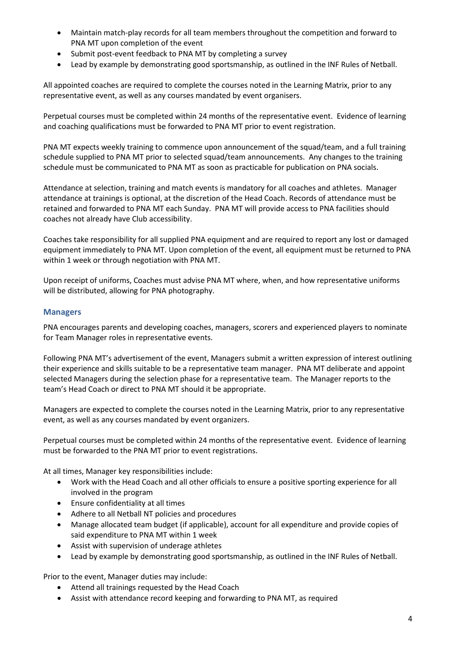- Maintain match-play records for all team members throughout the competition and forward to PNA MT upon completion of the event
- Submit post-event feedback to PNA MT by completing a survey
- Lead by example by demonstrating good sportsmanship, as outlined in the INF Rules of Netball.

All appointed coaches are required to complete the courses noted in the Learning Matrix, prior to any representative event, as well as any courses mandated by event organisers.

Perpetual courses must be completed within 24 months of the representative event. Evidence of learning and coaching qualifications must be forwarded to PNA MT prior to event registration.

PNA MT expects weekly training to commence upon announcement of the squad/team, and a full training schedule supplied to PNA MT prior to selected squad/team announcements. Any changes to the training schedule must be communicated to PNA MT as soon as practicable for publication on PNA socials.

Attendance at selection, training and match events is mandatory for all coaches and athletes. Manager attendance at trainings is optional, at the discretion of the Head Coach. Records of attendance must be retained and forwarded to PNA MT each Sunday. PNA MT will provide access to PNA facilities should coaches not already have Club accessibility.

Coaches take responsibility for all supplied PNA equipment and are required to report any lost or damaged equipment immediately to PNA MT. Upon completion of the event, all equipment must be returned to PNA within 1 week or through negotiation with PNA MT.

Upon receipt of uniforms, Coaches must advise PNA MT where, when, and how representative uniforms will be distributed, allowing for PNA photography.

### **Managers**

PNA encourages parents and developing coaches, managers, scorers and experienced players to nominate for Team Manager roles in representative events.

Following PNA MT's advertisement of the event, Managers submit a written expression of interest outlining their experience and skills suitable to be a representative team manager. PNA MT deliberate and appoint selected Managers during the selection phase for a representative team. The Manager reports to the team's Head Coach or direct to PNA MT should it be appropriate.

Managers are expected to complete the courses noted in the Learning Matrix, prior to any representative event, as well as any courses mandated by event organizers.

Perpetual courses must be completed within 24 months of the representative event. Evidence of learning must be forwarded to the PNA MT prior to event registrations.

At all times, Manager key responsibilities include:

- Work with the Head Coach and all other officials to ensure a positive sporting experience for all involved in the program
- Ensure confidentiality at all times
- Adhere to all Netball NT policies and procedures
- Manage allocated team budget (if applicable), account for all expenditure and provide copies of said expenditure to PNA MT within 1 week
- Assist with supervision of underage athletes
- Lead by example by demonstrating good sportsmanship, as outlined in the INF Rules of Netball.

Prior to the event, Manager duties may include:

- Attend all trainings requested by the Head Coach
- Assist with attendance record keeping and forwarding to PNA MT, as required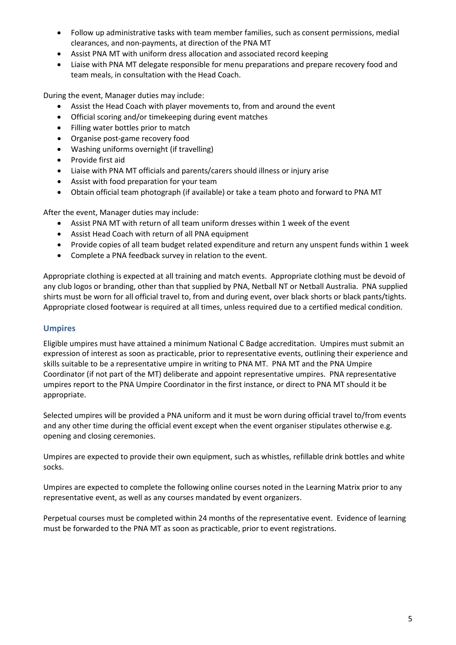- Follow up administrative tasks with team member families, such as consent permissions, medial clearances, and non-payments, at direction of the PNA MT
- Assist PNA MT with uniform dress allocation and associated record keeping
- Liaise with PNA MT delegate responsible for menu preparations and prepare recovery food and team meals, in consultation with the Head Coach.

During the event, Manager duties may include:

- Assist the Head Coach with player movements to, from and around the event
- Official scoring and/or timekeeping during event matches
- Filling water bottles prior to match
- Organise post-game recovery food
- Washing uniforms overnight (if travelling)
- Provide first aid
- Liaise with PNA MT officials and parents/carers should illness or injury arise
- Assist with food preparation for your team
- Obtain official team photograph (if available) or take a team photo and forward to PNA MT

After the event, Manager duties may include:

- Assist PNA MT with return of all team uniform dresses within 1 week of the event
- Assist Head Coach with return of all PNA equipment
- Provide copies of all team budget related expenditure and return any unspent funds within 1 week
- Complete a PNA feedback survey in relation to the event.

Appropriate clothing is expected at all training and match events. Appropriate clothing must be devoid of any club logos or branding, other than that supplied by PNA, Netball NT or Netball Australia. PNA supplied shirts must be worn for all official travel to, from and during event, over black shorts or black pants/tights. Appropriate closed footwear is required at all times, unless required due to a certified medical condition.

# **Umpires**

Eligible umpires must have attained a minimum National C Badge accreditation. Umpires must submit an expression of interest as soon as practicable, prior to representative events, outlining their experience and skills suitable to be a representative umpire in writing to PNA MT. PNA MT and the PNA Umpire Coordinator (if not part of the MT) deliberate and appoint representative umpires. PNA representative umpires report to the PNA Umpire Coordinator in the first instance, or direct to PNA MT should it be appropriate.

Selected umpires will be provided a PNA uniform and it must be worn during official travel to/from events and any other time during the official event except when the event organiser stipulates otherwise e.g. opening and closing ceremonies.

Umpires are expected to provide their own equipment, such as whistles, refillable drink bottles and white socks.

Umpires are expected to complete the following online courses noted in the Learning Matrix prior to any representative event, as well as any courses mandated by event organizers.

Perpetual courses must be completed within 24 months of the representative event. Evidence of learning must be forwarded to the PNA MT as soon as practicable, prior to event registrations.